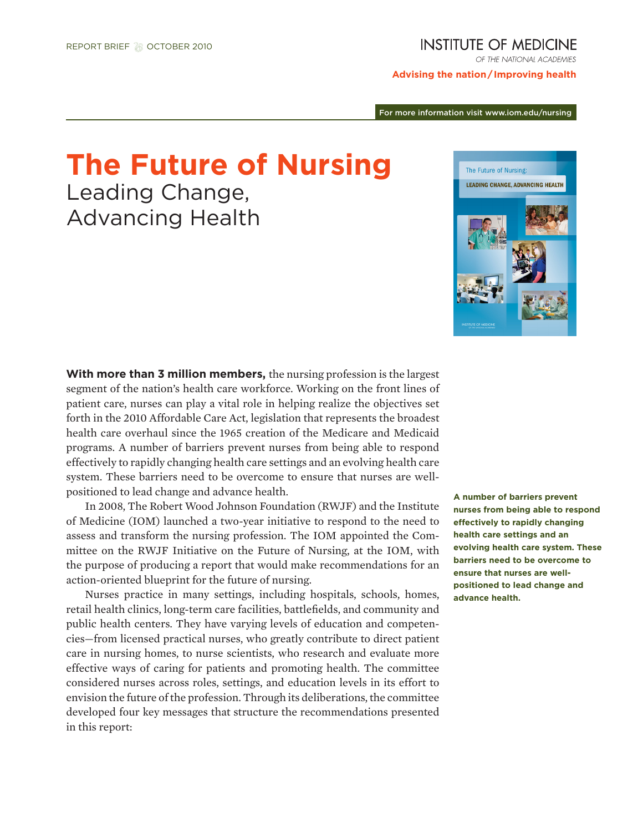**SSTITUTE OF MEDICINE Advising the nation/Improving health**

For more information visit www.iom.edu/nursing

# **The Future of Nursing**  Leading Change, Advancing Health

**With more than 3 million members,** the nursing profession is the largest segment of the nation's health care workforce. Working on the front lines of patient care, nurses can play a vital role in helping realize the objectives set forth in the 2010 Affordable Care Act, legislation that represents the broadest health care overhaul since the 1965 creation of the Medicare and Medicaid programs. A number of barriers prevent nurses from being able to respond effectively to rapidly changing health care settings and an evolving health care system. These barriers need to be overcome to ensure that nurses are wellpositioned to lead change and advance health.

In 2008, The Robert Wood Johnson Foundation (RWJF) and the Institute of Medicine (IOM) launched a two-year initiative to respond to the need to assess and transform the nursing profession. The IOM appointed the Committee on the RWJF Initiative on the Future of Nursing, at the IOM, with the purpose of producing a report that would make recommendations for an action-oriented blueprint for the future of nursing.

Nurses practice in many settings, including hospitals, schools, homes, retail health clinics, long-term care facilities, battlefields, and community and public health centers. They have varying levels of education and competencies—from licensed practical nurses, who greatly contribute to direct patient care in nursing homes, to nurse scientists, who research and evaluate more effective ways of caring for patients and promoting health. The committee considered nurses across roles, settings, and education levels in its effort to envision the future of the profession. Through its deliberations, the committee developed four key messages that structure the recommendations presented in this report:

**A number of barriers prevent nurses from being able to respond effectively to rapidly changing health care settings and an evolving health care system. These barriers need to be overcome to ensure that nurses are wellpositioned to lead change and advance health.** 

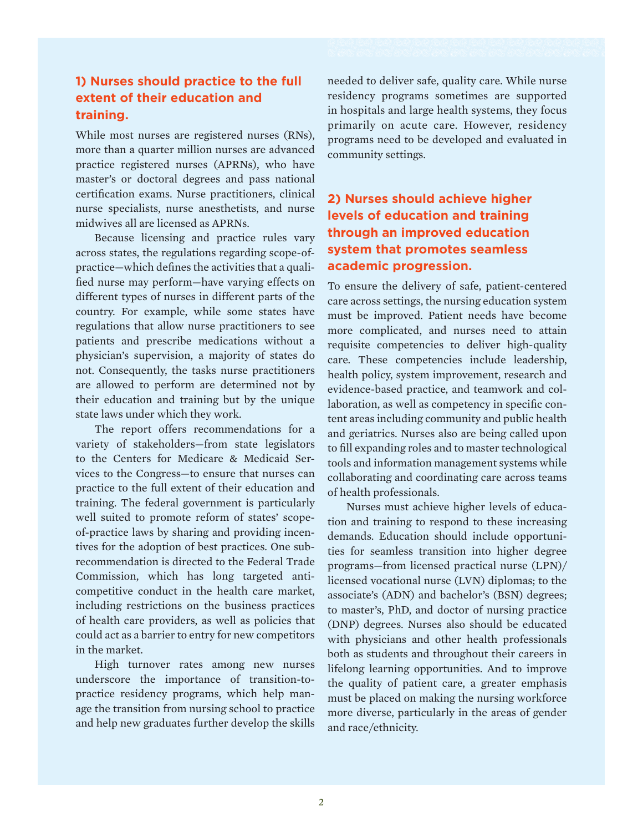### **1) Nurses should practice to the full extent of their education and training.**

While most nurses are registered nurses (RNs), more than a quarter million nurses are advanced practice registered nurses (APRNs), who have master's or doctoral degrees and pass national certification exams. Nurse practitioners, clinical nurse specialists, nurse anesthetists, and nurse midwives all are licensed as APRNs.

Because licensing and practice rules vary across states, the regulations regarding scope-ofpractice—which defines the activities that a qualified nurse may perform—have varying effects on different types of nurses in different parts of the country. For example, while some states have regulations that allow nurse practitioners to see patients and prescribe medications without a physician's supervision, a majority of states do not. Consequently, the tasks nurse practitioners are allowed to perform are determined not by their education and training but by the unique state laws under which they work.

The report offers recommendations for a variety of stakeholders—from state legislators to the Centers for Medicare & Medicaid Services to the Congress—to ensure that nurses can practice to the full extent of their education and training. The federal government is particularly well suited to promote reform of states' scopeof-practice laws by sharing and providing incentives for the adoption of best practices. One subrecommendation is directed to the Federal Trade Commission, which has long targeted anticompetitive conduct in the health care market, including restrictions on the business practices of health care providers, as well as policies that could act as a barrier to entry for new competitors in the market.

High turnover rates among new nurses underscore the importance of transition-topractice residency programs, which help manage the transition from nursing school to practice and help new graduates further develop the skills

needed to deliver safe, quality care. While nurse residency programs sometimes are supported in hospitals and large health systems, they focus primarily on acute care. However, residency programs need to be developed and evaluated in community settings.

## **2) Nurses should achieve higher levels of education and training through an improved education system that promotes seamless academic progression.**

To ensure the delivery of safe, patient-centered care across settings, the nursing education system must be improved. Patient needs have become more complicated, and nurses need to attain requisite competencies to deliver high-quality care. These competencies include leadership, health policy, system improvement, research and evidence-based practice, and teamwork and collaboration, as well as competency in specific content areas including community and public health and geriatrics. Nurses also are being called upon to fill expanding roles and to master technological tools and information management systems while collaborating and coordinating care across teams of health professionals.

Nurses must achieve higher levels of education and training to respond to these increasing demands. Education should include opportunities for seamless transition into higher degree programs—from licensed practical nurse (LPN)/ licensed vocational nurse (LVN) diplomas; to the associate's (ADN) and bachelor's (BSN) degrees; to master's, PhD, and doctor of nursing practice (DNP) degrees. Nurses also should be educated with physicians and other health professionals both as students and throughout their careers in lifelong learning opportunities. And to improve the quality of patient care, a greater emphasis must be placed on making the nursing workforce more diverse, particularly in the areas of gender and race/ethnicity.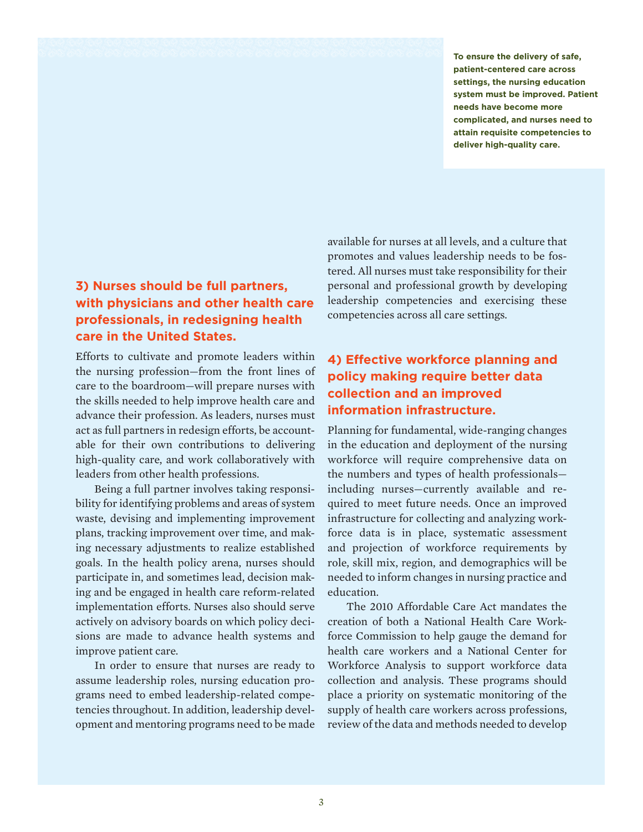**To ensure the delivery of safe, patient-centered care across settings, the nursing education system must be improved. Patient needs have become more complicated, and nurses need to attain requisite competencies to deliver high-quality care.** 

### **3) Nurses should be full partners, with physicians and other health care professionals, in redesigning health care in the United States.**

Efforts to cultivate and promote leaders within the nursing profession—from the front lines of care to the boardroom—will prepare nurses with the skills needed to help improve health care and advance their profession. As leaders, nurses must act as full partners in redesign efforts, be accountable for their own contributions to delivering high-quality care, and work collaboratively with leaders from other health professions.

Being a full partner involves taking responsibility for identifying problems and areas of system waste, devising and implementing improvement plans, tracking improvement over time, and making necessary adjustments to realize established goals. In the health policy arena, nurses should participate in, and sometimes lead, decision making and be engaged in health care reform-related implementation efforts. Nurses also should serve actively on advisory boards on which policy decisions are made to advance health systems and improve patient care.

In order to ensure that nurses are ready to assume leadership roles, nursing education programs need to embed leadership-related competencies throughout. In addition, leadership development and mentoring programs need to be made available for nurses at all levels, and a culture that promotes and values leadership needs to be fostered. All nurses must take responsibility for their personal and professional growth by developing leadership competencies and exercising these competencies across all care settings.

### **4) Effective workforce planning and policy making require better data collection and an improved information infrastructure.**

Planning for fundamental, wide-ranging changes in the education and deployment of the nursing workforce will require comprehensive data on the numbers and types of health professionals including nurses—currently available and required to meet future needs. Once an improved infrastructure for collecting and analyzing workforce data is in place, systematic assessment and projection of workforce requirements by role, skill mix, region, and demographics will be needed to inform changes in nursing practice and education.

The 2010 Affordable Care Act mandates the creation of both a National Health Care Workforce Commission to help gauge the demand for health care workers and a National Center for Workforce Analysis to support workforce data collection and analysis. These programs should place a priority on systematic monitoring of the supply of health care workers across professions, review of the data and methods needed to develop